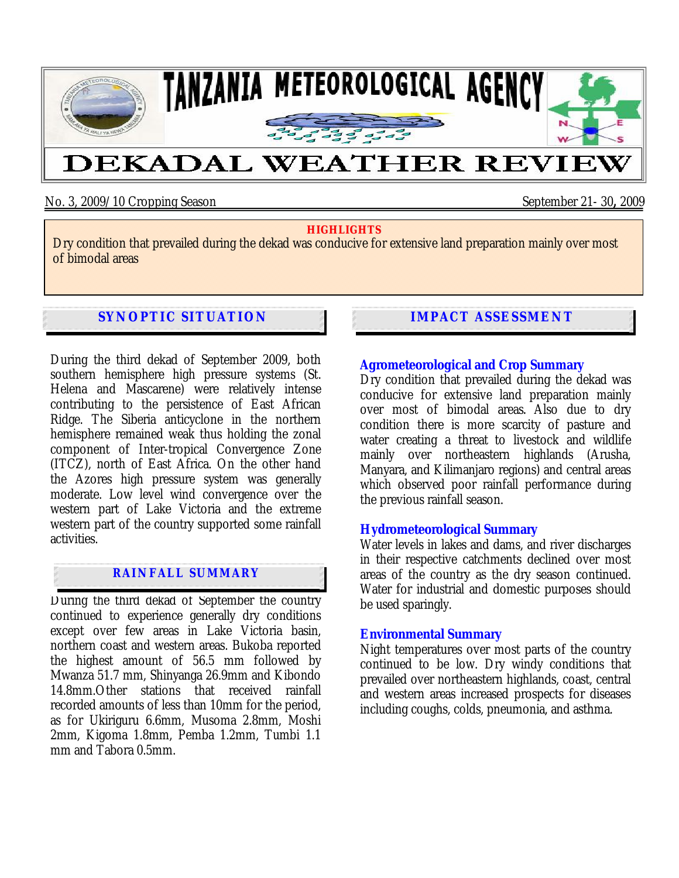

No. 3, 2009/10 Cropping Season September 21- 30, 2009

#### **HIGHLIGHTS**

Dry condition that prevailed during the dekad was conducive for extensive land preparation mainly over most of bimodal areas

# **SYNOPTIC SITUATION**

During the third dekad of September 2009, both southern hemisphere high pressure systems (St. Helena and Mascarene) were relatively intense contributing to the persistence of East African Ridge. The Siberia anticyclone in the northern hemisphere remained weak thus holding the zonal component of Inter-tropical Convergence Zone (ITCZ), north of East Africa. On the other hand the Azores high pressure system was generally moderate. Low level wind convergence over the western part of Lake Victoria and the extreme western part of the country supported some rainfall activities.

## **RAINFALL SUMMARY**

During the third dekad of September the country continued to experience generally dry conditions except over few areas in Lake Victoria basin, northern coast and western areas. Bukoba reported the highest amount of 56.5 mm followed by Mwanza 51.7 mm, Shinyanga 26.9mm and Kibondo 14.8mm.Other stations that received rainfall recorded amounts of less than 10mm for the period, as for Ukiriguru 6.6mm, Musoma 2.8mm, Moshi 2mm, Kigoma 1.8mm, Pemba 1.2mm, Tumbi 1.1 mm and Tabora 0.5mm.

# **IMPACT ASSESSMENT**

## **Agrometeorological and Crop Summary**

Dry condition that prevailed during the dekad was conducive for extensive land preparation mainly over most of bimodal areas**.** Also due to dry condition there is more scarcity of pasture and water creating a threat to livestock and wildlife mainly over northeastern highlands (Arusha, Manyara, and Kilimanjaro regions) and central areas which observed poor rainfall performance during the previous rainfall season.

### **Hydrometeorological Summary**

Water levels in lakes and dams, and river discharges in their respective catchments declined over most areas of the country as the dry season continued. Water for industrial and domestic purposes should be used sparingly.

### **Environmental Summary**

Night temperatures over most parts of the country continued to be low. Dry windy conditions that prevailed over northeastern highlands, coast, central and western areas increased prospects for diseases including coughs, colds, pneumonia, and asthma.